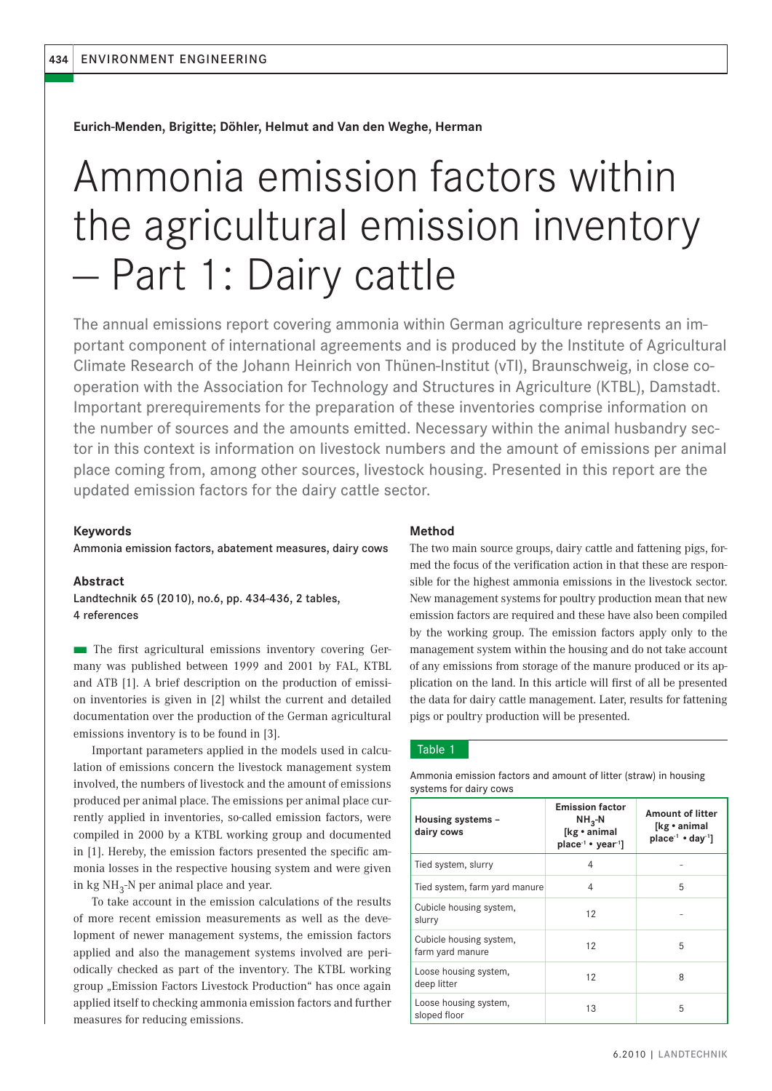**Eurich-Menden, Brigitte; Döhler, Helmut and Van den Weghe, Herman**

# Ammonia emission factors within the agricultural emission inventory — Part 1: Dairy cattle

The annual emissions report covering ammonia within German agriculture represents an important component of international agreements and is produced by the Institute of Agricultural Climate Research of the Johann Heinrich von Thünen-Institut (vTI), Braunschweig, in close cooperation with the Association for Technology and Structures in Agriculture (KTBL), Damstadt. Important prerequirements for the preparation of these inventories comprise information on the number of sources and the amounts emitted. Necessary within the animal husbandry sector in this context is information on livestock numbers and the amount of emissions per animal place coming from, among other sources, livestock housing. Presented in this report are the updated emission factors for the dairy cattle sector.

## **Keywords**

Ammonia emission factors, abatement measures, dairy cows

#### **Abstract**

Landtechnik 65 (2010), no.6, pp. 434-436, 2 tables, 4 references

**The first agricultural emissions inventory covering Ger**many was published between 1999 and 2001 by FAL, KTBL and ATB [1]. A brief description on the production of emission inventories is given in [2] whilst the current and detailed documentation over the production of the German agricultural emissions inventory is to be found in [3].

Important parameters applied in the models used in calculation of emissions concern the livestock management system involved, the numbers of livestock and the amount of emissions produced per animal place. The emissions per animal place currently applied in inventories, so-called emission factors, were compiled in 2000 by a KTBL working group and documented in [1]. Hereby, the emission factors presented the specific ammonia losses in the respective housing system and were given in kg  $NH_{3}$ -N per animal place and year.

To take account in the emission calculations of the results of more recent emission measurements as well as the development of newer management systems, the emission factors applied and also the management systems involved are periodically checked as part of the inventory. The KTBL working group "Emission Factors Livestock Production" has once again applied itself to checking ammonia emission factors and further measures for reducing emissions.

### **Method**

The two main source groups, dairy cattle and fattening pigs, formed the focus of the verification action in that these are responsible for the highest ammonia emissions in the livestock sector. New management systems for poultry production mean that new emission factors are required and these have also been compiled by the working group. The emission factors apply only to the management system within the housing and do not take account of any emissions from storage of the manure produced or its application on the land. In this article will first of all be presented the data for dairy cattle management. Later, results for fattening pigs or poultry production will be presented.

## Table 1

| Housing systems -<br>dairy cows             | <b>Emission factor</b><br>$NH_{3}$ -N<br>[kg · animal<br>$place^{-1}$ • $vear^{-1}$ | <b>Amount of litter</b><br>[kg • animal<br>place <sup>-1</sup> $\cdot$ day <sup>-1</sup> ] |
|---------------------------------------------|-------------------------------------------------------------------------------------|--------------------------------------------------------------------------------------------|
| Tied system, slurry                         | 4                                                                                   |                                                                                            |
| Tied system, farm yard manure               | 4                                                                                   | 5                                                                                          |
| Cubicle housing system,<br>slurry           | 12                                                                                  |                                                                                            |
| Cubicle housing system,<br>farm yard manure | 12                                                                                  | 5                                                                                          |
| Loose housing system,<br>deep litter        | 12                                                                                  | 8                                                                                          |
| Loose housing system,<br>sloped floor       | 13                                                                                  | 5                                                                                          |

Ammonia emission factors and amount of litter (straw) in housing systems for dairy cows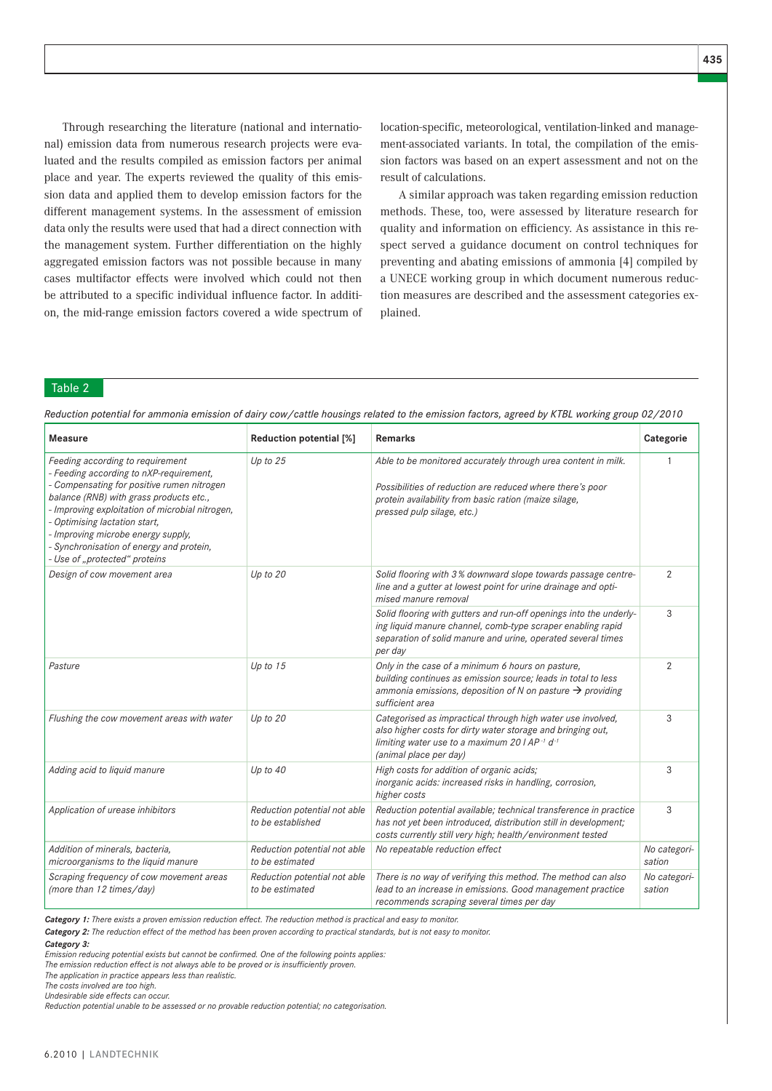Through researching the literature (national and international) emission data from numerous research projects were evaluated and the results compiled as emission factors per animal place and year. The experts reviewed the quality of this emission data and applied them to develop emission factors for the different management systems. In the assessment of emission data only the results were used that had a direct connection with the management system. Further differentiation on the highly aggregated emission factors was not possible because in many cases multifactor effects were involved which could not then be attributed to a specific individual influence factor. In addition, the mid-range emission factors covered a wide spectrum of location-specific, meteorological, ventilation-linked and management-associated variants. In total, the compilation of the emission factors was based on an expert assessment and not on the result of calculations.

A similar approach was taken regarding emission reduction methods. These, too, were assessed by literature research for quality and information on efficiency. As assistance in this respect served a guidance document on control techniques for preventing and abating emissions of ammonia [4] compiled by a UNECE working group in which document numerous reduction measures are described and the assessment categories explained.

## Table 2

| <b>Measure</b>                                                                                                                                                                                                                                                                                                                                                          | Reduction potential [%]                           | <b>Remarks</b>                                                                                                                                                                                                    | Categorie              |
|-------------------------------------------------------------------------------------------------------------------------------------------------------------------------------------------------------------------------------------------------------------------------------------------------------------------------------------------------------------------------|---------------------------------------------------|-------------------------------------------------------------------------------------------------------------------------------------------------------------------------------------------------------------------|------------------------|
| Feeding according to requirement<br>- Feeding according to nXP-requirement,<br>- Compensating for positive rumen nitrogen<br>balance (RNB) with grass products etc.,<br>- Improving exploitation of microbial nitrogen,<br>Optimising lactation start,<br>- Improving microbe energy supply,<br>Synchronisation of energy and protein,<br>- Use of "protected" proteins | Up to $25$                                        | Able to be monitored accurately through urea content in milk.<br>Possibilities of reduction are reduced where there's poor<br>protein availability from basic ration (maize silage,<br>pressed pulp silage, etc.) |                        |
| Design of cow movement area                                                                                                                                                                                                                                                                                                                                             | Up to $20$                                        | Solid flooring with 3% downward slope towards passage centre-<br>line and a gutter at lowest point for urine drainage and opti-<br>mised manure removal                                                           | 2                      |
|                                                                                                                                                                                                                                                                                                                                                                         |                                                   | Solid flooring with gutters and run-off openings into the underly-<br>ing liquid manure channel, comb-type scraper enabling rapid<br>separation of solid manure and urine, operated several times<br>per day      | 3                      |
| Pasture                                                                                                                                                                                                                                                                                                                                                                 | Up to $15$                                        | Only in the case of a minimum 6 hours on pasture,<br>building continues as emission source; leads in total to less<br>ammonia emissions, deposition of N on pasture $\rightarrow$ providing<br>sufficient area    | $\overline{2}$         |
| Flushing the cow movement areas with water                                                                                                                                                                                                                                                                                                                              | Up to $20$                                        | Categorised as impractical through high water use involved,<br>also higher costs for dirty water storage and bringing out,<br>limiting water use to a maximum 20 $1 AP^{-1} d^{-1}$<br>(animal place per day)     | 3                      |
| Adding acid to liquid manure                                                                                                                                                                                                                                                                                                                                            | Up to $40$                                        | High costs for addition of organic acids;<br>inorganic acids: increased risks in handling, corrosion,<br>higher costs                                                                                             | 3                      |
| Application of urease inhibitors                                                                                                                                                                                                                                                                                                                                        | Reduction potential not able<br>to be established | Reduction potential available; technical transference in practice<br>has not yet been introduced, distribution still in development;<br>costs currently still very high; health/environment tested                | 3                      |
| Addition of minerals, bacteria,<br>microorganisms to the liquid manure                                                                                                                                                                                                                                                                                                  | Reduction potential not able<br>to be estimated   | No repeatable reduction effect                                                                                                                                                                                    | No categori-<br>sation |
| Scraping frequency of cow movement areas<br>(more than 12 times/day)                                                                                                                                                                                                                                                                                                    | Reduction potential not able<br>to be estimated   | There is no way of verifying this method. The method can also<br>lead to an increase in emissions. Good management practice<br>recommends scraping several times per day                                          | No categori-<br>sation |

*Reduction potential for ammonia emission of dairy cow/cattle housings related to the emission factors, agreed by KTBL working group 02/2010*

*Category 1: There exists a proven emission reduction effect. The reduction method is practical and easy to monitor.*

*Category 2: The reduction effect of the method has been proven according to practical standards, but is not easy to monitor.*

*Emission reducing potential exists but cannot be confi rmed. One of the following points applies:*

The emission reduction effect is not always able to be proved or is insufficiently proven.

*The application in practice appears less than realistic.* 

*The costs involved are too high. Undesirable side effects can occur.*

*Reduction potential unable to be assessed or no provable reduction potential; no categorisation.*

*Category 3:*